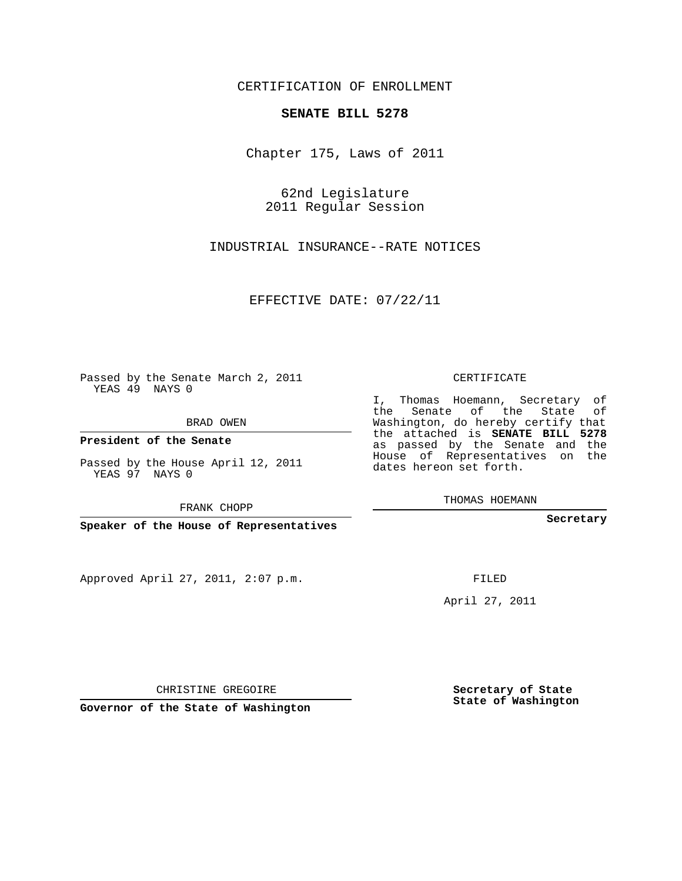## CERTIFICATION OF ENROLLMENT

## **SENATE BILL 5278**

Chapter 175, Laws of 2011

62nd Legislature 2011 Regular Session

INDUSTRIAL INSURANCE--RATE NOTICES

EFFECTIVE DATE: 07/22/11

Passed by the Senate March 2, 2011 YEAS 49 NAYS 0

BRAD OWEN

**President of the Senate**

Passed by the House April 12, 2011 YEAS 97 NAYS 0

FRANK CHOPP

**Speaker of the House of Representatives**

Approved April 27, 2011, 2:07 p.m.

CERTIFICATE

I, Thomas Hoemann, Secretary of the Senate of the State of Washington, do hereby certify that the attached is **SENATE BILL 5278** as passed by the Senate and the House of Representatives on the dates hereon set forth.

THOMAS HOEMANN

**Secretary**

FILED

April 27, 2011

**Secretary of State State of Washington**

CHRISTINE GREGOIRE

**Governor of the State of Washington**